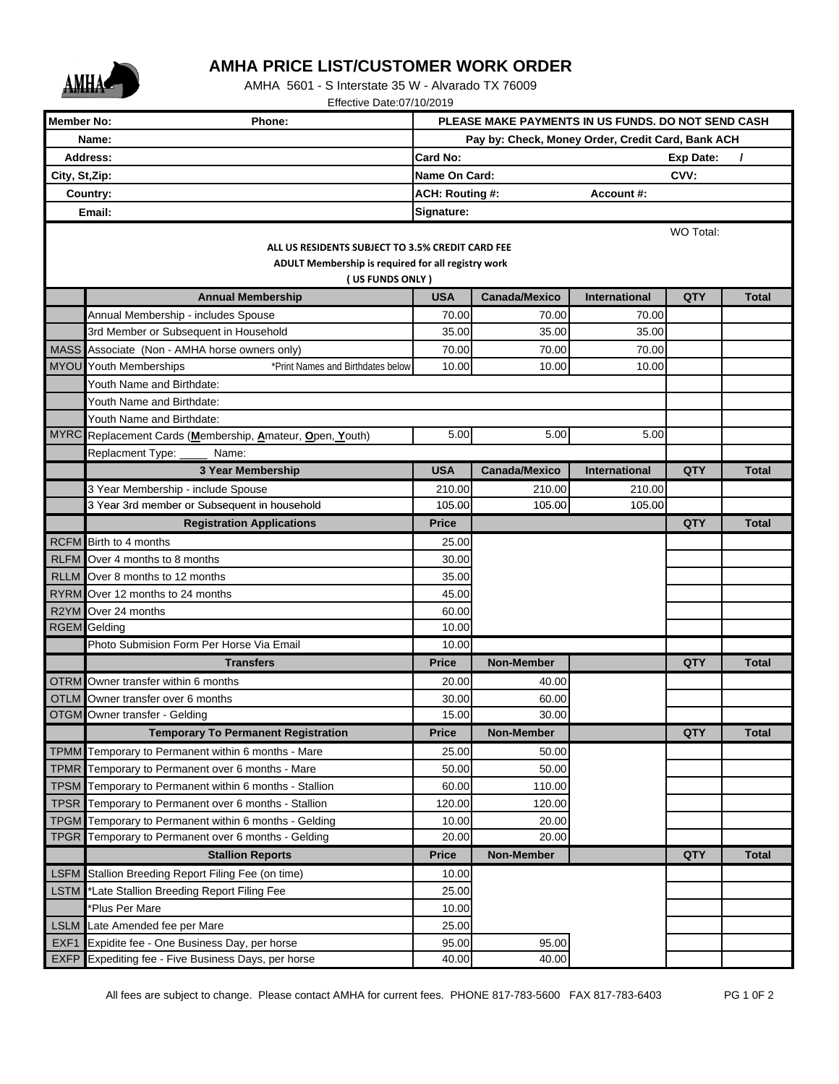

## **AMHA PRICE LIST/CUSTOMER WORK ORDER**

AMHA 5601 - S Interstate 35 W - Alvarado TX 76009

Effective Date:07/10/2019

| <b>Member No:</b><br>Phone:                        |                                                                                                                     | PLEASE MAKE PAYMENTS IN US FUNDS. DO NOT SEND CASH |                                                   |                |                  |              |  |  |  |  |  |
|----------------------------------------------------|---------------------------------------------------------------------------------------------------------------------|----------------------------------------------------|---------------------------------------------------|----------------|------------------|--------------|--|--|--|--|--|
| Name:                                              |                                                                                                                     |                                                    | Pay by: Check, Money Order, Credit Card, Bank ACH |                |                  |              |  |  |  |  |  |
| <b>Address:</b>                                    |                                                                                                                     | <b>Card No:</b>                                    |                                                   |                | <b>Exp Date:</b> | $\prime$     |  |  |  |  |  |
| City, St, Zip:                                     |                                                                                                                     | Name On Card:                                      |                                                   |                | CVV:             |              |  |  |  |  |  |
| Country:                                           |                                                                                                                     | ACH: Routing #:                                    |                                                   | Account#:      |                  |              |  |  |  |  |  |
| Signature:<br>Email:                               |                                                                                                                     |                                                    |                                                   |                |                  |              |  |  |  |  |  |
| WO Total:                                          |                                                                                                                     |                                                    |                                                   |                |                  |              |  |  |  |  |  |
| ALL US RESIDENTS SUBJECT TO 3.5% CREDIT CARD FEE   |                                                                                                                     |                                                    |                                                   |                |                  |              |  |  |  |  |  |
| ADULT Membership is required for all registry work |                                                                                                                     |                                                    |                                                   |                |                  |              |  |  |  |  |  |
| (US FUNDS ONLY)                                    |                                                                                                                     |                                                    |                                                   |                |                  |              |  |  |  |  |  |
|                                                    | <b>Annual Membership</b>                                                                                            | <b>USA</b>                                         | <b>Canada/Mexico</b>                              | International  | QTY              | <b>Total</b> |  |  |  |  |  |
|                                                    | Annual Membership - includes Spouse                                                                                 | 70.00                                              | 70.00                                             | 70.00          |                  |              |  |  |  |  |  |
|                                                    | 3rd Member or Subsequent in Household                                                                               | 35.00                                              | 35.00                                             | 35.00          |                  |              |  |  |  |  |  |
|                                                    | MASS Associate (Non - AMHA horse owners only)<br><b>MYOU</b> Youth Memberships<br>*Print Names and Birthdates below | 70.00<br>10.00                                     | 70.00<br>10.00                                    | 70.00<br>10.00 |                  |              |  |  |  |  |  |
|                                                    |                                                                                                                     |                                                    |                                                   |                |                  |              |  |  |  |  |  |
|                                                    | Youth Name and Birthdate:                                                                                           |                                                    |                                                   |                |                  |              |  |  |  |  |  |
|                                                    | Youth Name and Birthdate:<br>Youth Name and Birthdate:                                                              |                                                    |                                                   |                |                  |              |  |  |  |  |  |
|                                                    | MYRC Replacement Cards (Membership, Amateur, Open, Youth)                                                           | 5.00                                               | 5.00                                              | 5.00           |                  |              |  |  |  |  |  |
|                                                    | <b>Replacment Type:</b><br>Name:                                                                                    |                                                    |                                                   |                |                  |              |  |  |  |  |  |
|                                                    | 3 Year Membership                                                                                                   | <b>USA</b>                                         | <b>Canada/Mexico</b>                              | International  | <b>QTY</b>       | <b>Total</b> |  |  |  |  |  |
|                                                    | 3 Year Membership - include Spouse                                                                                  | 210.00                                             | 210.00                                            | 210.00         |                  |              |  |  |  |  |  |
|                                                    | 3 Year 3rd member or Subsequent in household                                                                        | 105.00                                             | 105.00                                            | 105.00         |                  |              |  |  |  |  |  |
|                                                    | <b>Registration Applications</b>                                                                                    | <b>Price</b>                                       |                                                   |                | <b>QTY</b>       | <b>Total</b> |  |  |  |  |  |
|                                                    | RCFM Birth to 4 months                                                                                              | 25.00                                              |                                                   |                |                  |              |  |  |  |  |  |
|                                                    | RLFM Over 4 months to 8 months                                                                                      | 30.00                                              |                                                   |                |                  |              |  |  |  |  |  |
| <b>RLLM</b>                                        | Over 8 months to 12 months                                                                                          | 35.00                                              |                                                   |                |                  |              |  |  |  |  |  |
|                                                    | RYRM Over 12 months to 24 months                                                                                    | 45.00                                              |                                                   |                |                  |              |  |  |  |  |  |
|                                                    | R2YM Over 24 months                                                                                                 | 60.00                                              |                                                   |                |                  |              |  |  |  |  |  |
|                                                    | <b>RGEM</b> Gelding                                                                                                 | 10.00                                              |                                                   |                |                  |              |  |  |  |  |  |
|                                                    | Photo Submision Form Per Horse Via Email                                                                            | 10.00                                              |                                                   |                |                  |              |  |  |  |  |  |
|                                                    | <b>Transfers</b>                                                                                                    | <b>Price</b>                                       | <b>Non-Member</b>                                 |                | <b>QTY</b>       | <b>Total</b> |  |  |  |  |  |
|                                                    | OTRM Owner transfer within 6 months                                                                                 | 20.00                                              | 40.00                                             |                |                  |              |  |  |  |  |  |
|                                                    | <b>OTLM</b> Owner transfer over 6 months                                                                            | 30.00                                              | 60.00                                             |                |                  |              |  |  |  |  |  |
|                                                    | OTGM Owner transfer - Gelding                                                                                       | 15.00                                              | 30.00                                             |                |                  |              |  |  |  |  |  |
|                                                    | <b>Temporary To Permanent Registration</b>                                                                          | <b>Price</b>                                       | <b>Non-Member</b>                                 |                | QTY              | <b>Total</b> |  |  |  |  |  |
|                                                    | TPMM Temporary to Permanent within 6 months - Mare                                                                  | 25.00                                              | 50.00                                             |                |                  |              |  |  |  |  |  |
| <b>TPMR</b>                                        | Temporary to Permanent over 6 months - Mare                                                                         | 50.00                                              | 50.00                                             |                |                  |              |  |  |  |  |  |
| <b>TPSM</b>                                        | Temporary to Permanent within 6 months - Stallion                                                                   | 60.00                                              | 110.00                                            |                |                  |              |  |  |  |  |  |
| <b>TPSR</b>                                        | Temporary to Permanent over 6 months - Stallion                                                                     | 120.00                                             | 120.00                                            |                |                  |              |  |  |  |  |  |
| <b>TPGM</b>                                        | Temporary to Permanent within 6 months - Gelding                                                                    | 10.00                                              | 20.00                                             |                |                  |              |  |  |  |  |  |
| <b>TPGR</b>                                        | Temporary to Permanent over 6 months - Gelding                                                                      | 20.00                                              | 20.00                                             |                |                  |              |  |  |  |  |  |
|                                                    | <b>Stallion Reports</b>                                                                                             | <b>Price</b>                                       | Non-Member                                        |                | QTY              | <b>Total</b> |  |  |  |  |  |
| <b>LSFM</b>                                        | Stallion Breeding Report Filing Fee (on time)                                                                       | 10.00                                              |                                                   |                |                  |              |  |  |  |  |  |
| <b>LSTM</b>                                        | *Late Stallion Breeding Report Filing Fee                                                                           | 25.00                                              |                                                   |                |                  |              |  |  |  |  |  |
|                                                    | *Plus Per Mare                                                                                                      | 10.00                                              |                                                   |                |                  |              |  |  |  |  |  |
| <b>LSLM</b>                                        | Late Amended fee per Mare                                                                                           | 25.00                                              | 95.00                                             |                |                  |              |  |  |  |  |  |
| EXF1<br><b>EXFP</b>                                | Expidite fee - One Business Day, per horse<br>Expediting fee - Five Business Days, per horse                        | 95.00<br>40.00                                     | 40.00                                             |                |                  |              |  |  |  |  |  |
|                                                    |                                                                                                                     |                                                    |                                                   |                |                  |              |  |  |  |  |  |

All fees are subject to change. Please contact AMHA for current fees. PHONE 817-783-5600 FAX 817-783-6403 PG 1 0F 2